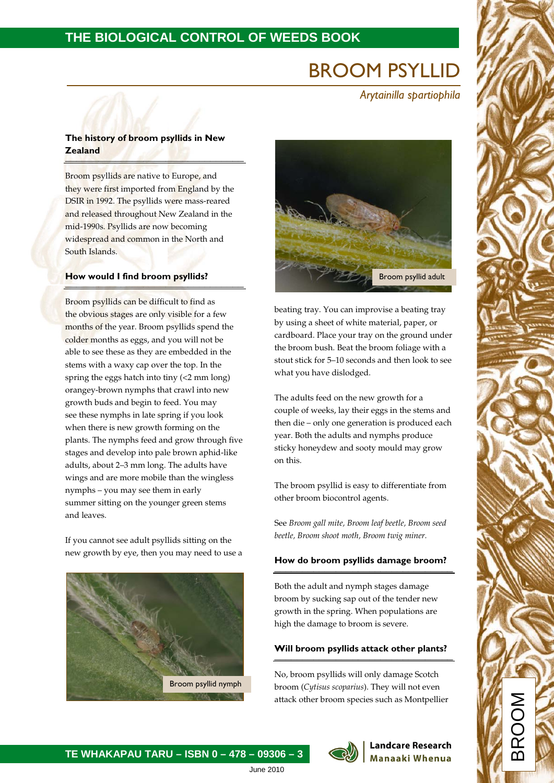### **THE BIOLOGICAL CONTROL OF WEEDS BOOK**

# BROOM PSYLLID

 *Arytainilla spartiophila*

#### **The history of broom psyllids in New Zealand** \_\_\_\_\_\_\_\_\_\_\_\_\_\_\_\_\_\_\_\_\_\_\_\_\_\_\_\_\_\_\_\_

Broom psyllids are native to Europe, and they were first imported from England by the DSIR in 1992. The psyllids were mass-reared and released throughout New Zealand in the mid-1990s. Psyllids are now becoming widespread and common in the North and South Islands.

### **How would I find broom psyllids?**

Broom psyllids can be difficult to find as the obvious stages are only visible for a few months of the year. Broom psyllids spend the colder months as eggs, and you will not be able to see these as they are embedded in the stems with a waxy cap over the top. In the spring the eggs hatch into tiny (<2 mm long) orangey-brown nymphs that crawl into new growth buds and begin to feed. You may see these nymphs in late spring if you look when there is new growth forming on the plants. The nymphs feed and grow through five stages and develop into pale brown aphid-like adults, about 2–3 mm long. The adults have wings and are more mobile than the wingless nymphs – you may see them in early summer sitting on the younger green stems and leaves.

If you cannot see adult psyllids sitting on the new growth by eye, then you may need to use a





beating tray. You can improvise a beating tray by using a sheet of white material, paper, or cardboard. Place your tray on the ground under the broom bush. Beat the broom foliage with a stout stick for 5–10 seconds and then look to see what you have dislodged.

The adults feed on the new growth for a couple of weeks, lay their eggs in the stems and then die – only one generation is produced each year. Both the adults and nymphs produce sticky honeydew and sooty mould may grow on this.

The broom psyllid is easy to differentiate from other broom biocontrol agents.

See *Broom gall mite, Broom leaf beetle, Broom seed beetle, Broom shoot moth, Broom twig miner.*

## **How do broom psyllids damage broom?**  \_\_\_\_\_\_\_\_\_\_\_\_\_\_\_\_\_\_\_\_\_\_\_\_\_\_\_\_\_\_\_\_

Both the adult and nymph stages damage broom by sucking sap out of the tender new growth in the spring. When populations are high the damage to broom is severe.

## **Will broom psyllids attack other plants?** \_\_\_\_\_\_\_\_\_\_\_\_\_\_\_\_\_\_\_\_\_\_\_\_\_\_\_\_\_\_\_\_

No, broom psyllids will only damage Scotch broom (*Cytisus scoparius*). They will not even attack other broom species such as Montpellier



### **Landcare Research Manaaki Whenua**

BROOM

June 2010